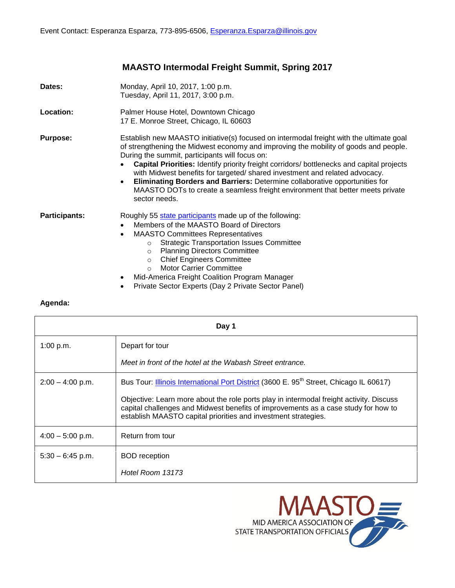## **MAASTO Intermodal Freight Summit, Spring 2017**

| Dates:          | Monday, April 10, 2017, 1:00 p.m.<br>Tuesday, April 11, 2017, 3:00 p.m.                                                                                                                                                                                                                                                                                                                                                                                                                                                                                                                                                   |
|-----------------|---------------------------------------------------------------------------------------------------------------------------------------------------------------------------------------------------------------------------------------------------------------------------------------------------------------------------------------------------------------------------------------------------------------------------------------------------------------------------------------------------------------------------------------------------------------------------------------------------------------------------|
| Location:       | Palmer House Hotel, Downtown Chicago<br>17 E. Monroe Street, Chicago, IL 60603                                                                                                                                                                                                                                                                                                                                                                                                                                                                                                                                            |
| <b>Purpose:</b> | Establish new MAASTO initiative(s) focused on intermodal freight with the ultimate goal<br>of strengthening the Midwest economy and improving the mobility of goods and people.<br>During the summit, participants will focus on:<br><b>Capital Priorities:</b> Identify priority freight corridors/ bottlenecks and capital projects<br>with Midwest benefits for targeted/shared investment and related advocacy.<br><b>Eliminating Borders and Barriers: Determine collaborative opportunities for</b><br>$\bullet$<br>MAASTO DOTs to create a seamless freight environment that better meets private<br>sector needs. |
| Participants:   | Roughly 55 state participants made up of the following:<br>Members of the MAASTO Board of Directors<br>$\bullet$<br><b>MAASTO Committees Representatives</b><br>٠<br><b>Strategic Transportation Issues Committee</b><br>$\circ$<br><b>Planning Directors Committee</b><br>$\circ$<br><b>Chief Engineers Committee</b><br>$\circ$<br><b>Motor Carrier Committee</b><br>$\circ$<br>Mid-America Freight Coalition Program Manager<br>٠                                                                                                                                                                                      |

Private Sector Experts (Day 2 Private Sector Panel)

## **Agenda:**

| Day 1              |                                                                                                                                                                                                                                                 |  |
|--------------------|-------------------------------------------------------------------------------------------------------------------------------------------------------------------------------------------------------------------------------------------------|--|
| 1:00 p.m.          | Depart for tour                                                                                                                                                                                                                                 |  |
|                    | Meet in front of the hotel at the Wabash Street entrance.                                                                                                                                                                                       |  |
| $2:00 - 4:00$ p.m. | Bus Tour: <i>Illinois International Port District</i> (3600 E. 95 <sup>th</sup> Street, Chicago IL 60617)                                                                                                                                       |  |
|                    | Objective: Learn more about the role ports play in intermodal freight activity. Discuss<br>capital challenges and Midwest benefits of improvements as a case study for how to<br>establish MAASTO capital priorities and investment strategies. |  |
| $4:00 - 5:00$ p.m. | Return from tour                                                                                                                                                                                                                                |  |
| $5:30 - 6:45$ p.m. | <b>BOD</b> reception                                                                                                                                                                                                                            |  |
|                    | Hotel Room 13173                                                                                                                                                                                                                                |  |

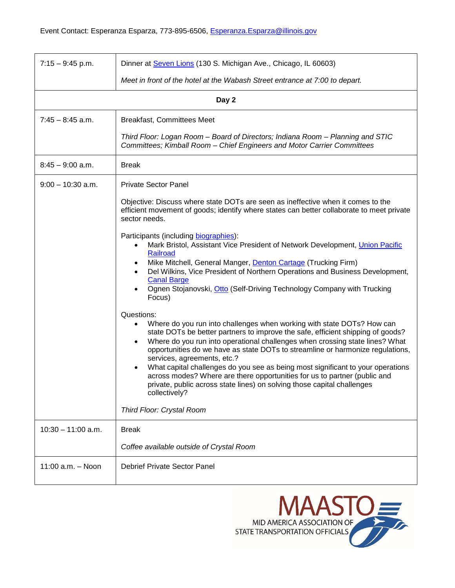| $7:15 - 9:45$ p.m.   | Dinner at Seven Lions (130 S. Michigan Ave., Chicago, IL 60603)                                                                                                                                                                                                                                                                                                                                                                                                                                                                                                                                                                                                   |  |
|----------------------|-------------------------------------------------------------------------------------------------------------------------------------------------------------------------------------------------------------------------------------------------------------------------------------------------------------------------------------------------------------------------------------------------------------------------------------------------------------------------------------------------------------------------------------------------------------------------------------------------------------------------------------------------------------------|--|
|                      | Meet in front of the hotel at the Wabash Street entrance at 7:00 to depart.                                                                                                                                                                                                                                                                                                                                                                                                                                                                                                                                                                                       |  |
| Day 2                |                                                                                                                                                                                                                                                                                                                                                                                                                                                                                                                                                                                                                                                                   |  |
| $7:45 - 8:45$ a.m.   | <b>Breakfast, Committees Meet</b>                                                                                                                                                                                                                                                                                                                                                                                                                                                                                                                                                                                                                                 |  |
|                      | Third Floor: Logan Room - Board of Directors; Indiana Room - Planning and STIC<br>Committees; Kimball Room - Chief Engineers and Motor Carrier Committees                                                                                                                                                                                                                                                                                                                                                                                                                                                                                                         |  |
| $8:45 - 9:00$ a.m.   | <b>Break</b>                                                                                                                                                                                                                                                                                                                                                                                                                                                                                                                                                                                                                                                      |  |
| $9:00 - 10:30$ a.m.  | <b>Private Sector Panel</b>                                                                                                                                                                                                                                                                                                                                                                                                                                                                                                                                                                                                                                       |  |
|                      | Objective: Discuss where state DOTs are seen as ineffective when it comes to the<br>efficient movement of goods; identify where states can better collaborate to meet private<br>sector needs.                                                                                                                                                                                                                                                                                                                                                                                                                                                                    |  |
|                      | Participants (including biographies):<br>Mark Bristol, Assistant Vice President of Network Development, Union Pacific<br>Railroad<br>Mike Mitchell, General Manger, Denton Cartage (Trucking Firm)<br>Del Wilkins, Vice President of Northern Operations and Business Development,<br><b>Canal Barge</b><br>Ognen Stojanovski, Otto (Self-Driving Technology Company with Trucking<br>Focus)                                                                                                                                                                                                                                                                      |  |
|                      | Questions:<br>Where do you run into challenges when working with state DOTs? How can<br>state DOTs be better partners to improve the safe, efficient shipping of goods?<br>Where do you run into operational challenges when crossing state lines? What<br>opportunities do we have as state DOTs to streamline or harmonize regulations,<br>services, agreements, etc.?<br>What capital challenges do you see as being most significant to your operations<br>across modes? Where are there opportunities for us to partner (public and<br>private, public across state lines) on solving those capital challenges<br>collectively?<br>Third Floor: Crystal Room |  |
| $10:30 - 11:00$ a.m. | <b>Break</b>                                                                                                                                                                                                                                                                                                                                                                                                                                                                                                                                                                                                                                                      |  |
|                      | Coffee available outside of Crystal Room                                                                                                                                                                                                                                                                                                                                                                                                                                                                                                                                                                                                                          |  |
| 11:00 a.m. - Noon    | <b>Debrief Private Sector Panel</b>                                                                                                                                                                                                                                                                                                                                                                                                                                                                                                                                                                                                                               |  |

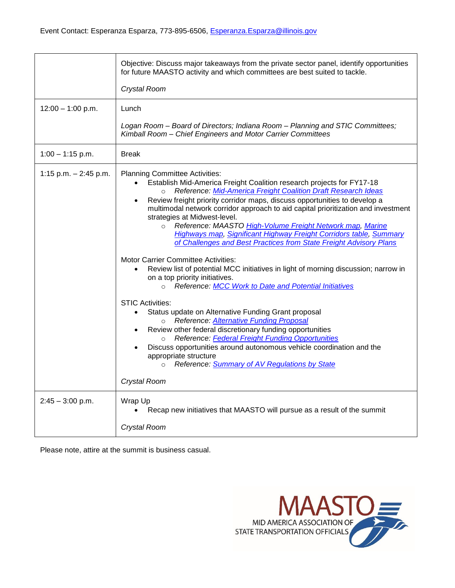|                         | Objective: Discuss major takeaways from the private sector panel, identify opportunities<br>for future MAASTO activity and which committees are best suited to tackle.                                                                                                                                                                                                                                                                                                                                                                                                                                                                                                                                                                                                                                                                                                                                                                                                                                                                                                                                                                                                                                                                                                                                                                                     |
|-------------------------|------------------------------------------------------------------------------------------------------------------------------------------------------------------------------------------------------------------------------------------------------------------------------------------------------------------------------------------------------------------------------------------------------------------------------------------------------------------------------------------------------------------------------------------------------------------------------------------------------------------------------------------------------------------------------------------------------------------------------------------------------------------------------------------------------------------------------------------------------------------------------------------------------------------------------------------------------------------------------------------------------------------------------------------------------------------------------------------------------------------------------------------------------------------------------------------------------------------------------------------------------------------------------------------------------------------------------------------------------------|
|                         | Crystal Room                                                                                                                                                                                                                                                                                                                                                                                                                                                                                                                                                                                                                                                                                                                                                                                                                                                                                                                                                                                                                                                                                                                                                                                                                                                                                                                                               |
| $12:00 - 1:00$ p.m.     | Lunch                                                                                                                                                                                                                                                                                                                                                                                                                                                                                                                                                                                                                                                                                                                                                                                                                                                                                                                                                                                                                                                                                                                                                                                                                                                                                                                                                      |
|                         | Logan Room - Board of Directors; Indiana Room - Planning and STIC Committees;<br>Kimball Room - Chief Engineers and Motor Carrier Committees                                                                                                                                                                                                                                                                                                                                                                                                                                                                                                                                                                                                                                                                                                                                                                                                                                                                                                                                                                                                                                                                                                                                                                                                               |
| $1:00 - 1:15$ p.m.      | <b>Break</b>                                                                                                                                                                                                                                                                                                                                                                                                                                                                                                                                                                                                                                                                                                                                                                                                                                                                                                                                                                                                                                                                                                                                                                                                                                                                                                                                               |
| 1:15 p.m. $-$ 2:45 p.m. | <b>Planning Committee Activities:</b><br>Establish Mid-America Freight Coalition research projects for FY17-18<br>Reference: Mid-America Freight Coalition Draft Research Ideas<br>$\circ$<br>Review freight priority corridor maps, discuss opportunities to develop a<br>$\bullet$<br>multimodal network corridor approach to aid capital prioritization and investment<br>strategies at Midwest-level.<br>Reference: MAASTO High-Volume Freight Network map, Marine<br>$\Omega$<br><b>Highways map, Significant Highway Freight Corridors table, Summary</b><br>of Challenges and Best Practices from State Freight Advisory Plans<br><b>Motor Carrier Committee Activities:</b><br>Review list of potential MCC initiatives in light of morning discussion; narrow in<br>on a top priority initiatives.<br><b>Reference: MCC Work to Date and Potential Initiatives</b><br>$\circ$<br><b>STIC Activities:</b><br>Status update on Alternative Funding Grant proposal<br>$\bullet$<br><b>Reference: Alternative Funding Proposal</b><br>$\circ$<br>Review other federal discretionary funding opportunities<br>Reference: Federal Freight Funding Opportunities<br>$\circ$<br>Discuss opportunities around autonomous vehicle coordination and the<br>appropriate structure<br>Reference: Summary of AV Regulations by State<br>$\circ$<br>Crystal Room |
| $2:45 - 3:00$ p.m.      | Wrap Up<br>Recap new initiatives that MAASTO will pursue as a result of the summit                                                                                                                                                                                                                                                                                                                                                                                                                                                                                                                                                                                                                                                                                                                                                                                                                                                                                                                                                                                                                                                                                                                                                                                                                                                                         |
|                         | Crystal Room                                                                                                                                                                                                                                                                                                                                                                                                                                                                                                                                                                                                                                                                                                                                                                                                                                                                                                                                                                                                                                                                                                                                                                                                                                                                                                                                               |

Please note, attire at the summit is business casual.